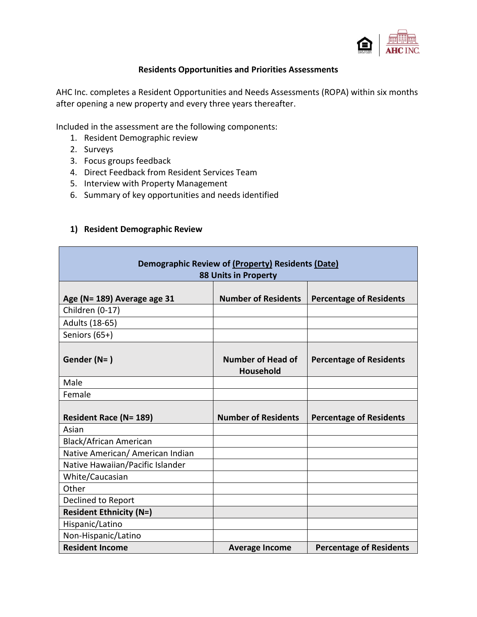

#### **Residents Opportunities and Priorities Assessments**

AHC Inc. completes a Resident Opportunities and Needs Assessments (ROPA) within six months after opening a new property and every three years thereafter.

Included in the assessment are the following components:

- 1. Resident Demographic review
- 2. Surveys
- 3. Focus groups feedback
- 4. Direct Feedback from Resident Services Team
- 5. Interview with Property Management
- 6. Summary of key opportunities and needs identified

#### **1) Resident Demographic Review**

| Demographic Review of (Property) Residents (Date)<br><b>88 Units in Property</b>  |                                       |                                |  |  |  |  |  |
|-----------------------------------------------------------------------------------|---------------------------------------|--------------------------------|--|--|--|--|--|
| Age (N= 189) Average age 31                                                       | <b>Number of Residents</b>            | <b>Percentage of Residents</b> |  |  |  |  |  |
| Children (0-17)                                                                   |                                       |                                |  |  |  |  |  |
| Adults (18-65)                                                                    |                                       |                                |  |  |  |  |  |
| Seniors (65+)                                                                     |                                       |                                |  |  |  |  |  |
| Gender (N=)                                                                       | <b>Number of Head of</b><br>Household | <b>Percentage of Residents</b> |  |  |  |  |  |
| Male                                                                              |                                       |                                |  |  |  |  |  |
| Female                                                                            |                                       |                                |  |  |  |  |  |
| <b>Resident Race (N= 189)</b>                                                     | <b>Number of Residents</b>            | <b>Percentage of Residents</b> |  |  |  |  |  |
| Asian                                                                             |                                       |                                |  |  |  |  |  |
| Black/African American                                                            |                                       |                                |  |  |  |  |  |
| Native American/ American Indian                                                  |                                       |                                |  |  |  |  |  |
| Native Hawaiian/Pacific Islander                                                  |                                       |                                |  |  |  |  |  |
| White/Caucasian                                                                   |                                       |                                |  |  |  |  |  |
| Other                                                                             |                                       |                                |  |  |  |  |  |
| Declined to Report                                                                |                                       |                                |  |  |  |  |  |
| <b>Resident Ethnicity (N=)</b>                                                    |                                       |                                |  |  |  |  |  |
| Hispanic/Latino                                                                   |                                       |                                |  |  |  |  |  |
| Non-Hispanic/Latino                                                               |                                       |                                |  |  |  |  |  |
| <b>Resident Income</b><br><b>Percentage of Residents</b><br><b>Average Income</b> |                                       |                                |  |  |  |  |  |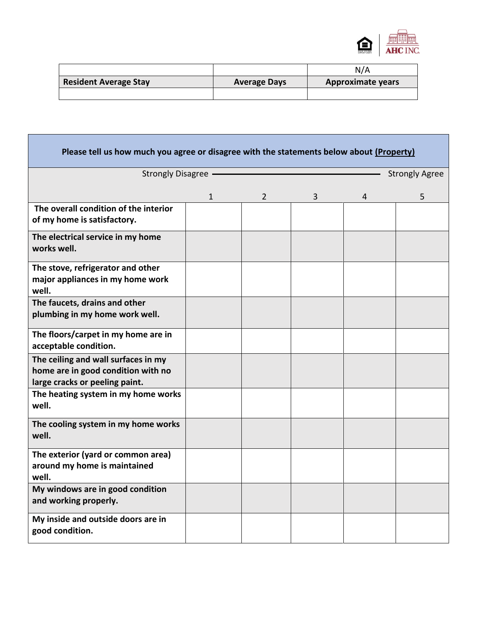

|                              |                     | N/A                      |
|------------------------------|---------------------|--------------------------|
| <b>Resident Average Stay</b> | <b>Average Days</b> | <b>Approximate years</b> |
|                              |                     |                          |

| Please tell us how much you agree or disagree with the statements below about (Property)                    |              |                |                |   |   |
|-------------------------------------------------------------------------------------------------------------|--------------|----------------|----------------|---|---|
| <b>Strongly Disagree</b><br><b>Strongly Agree</b>                                                           |              |                |                |   |   |
|                                                                                                             | $\mathbf{1}$ | $\overline{2}$ | $\overline{3}$ | 4 | 5 |
| The overall condition of the interior<br>of my home is satisfactory.                                        |              |                |                |   |   |
| The electrical service in my home<br>works well.                                                            |              |                |                |   |   |
| The stove, refrigerator and other<br>major appliances in my home work<br>well.                              |              |                |                |   |   |
| The faucets, drains and other<br>plumbing in my home work well.                                             |              |                |                |   |   |
| The floors/carpet in my home are in<br>acceptable condition.                                                |              |                |                |   |   |
| The ceiling and wall surfaces in my<br>home are in good condition with no<br>large cracks or peeling paint. |              |                |                |   |   |
| The heating system in my home works<br>well.                                                                |              |                |                |   |   |
| The cooling system in my home works<br>well.                                                                |              |                |                |   |   |
| The exterior (yard or common area)<br>around my home is maintained<br>well.                                 |              |                |                |   |   |
| My windows are in good condition<br>and working properly.                                                   |              |                |                |   |   |
| My inside and outside doors are in<br>good condition.                                                       |              |                |                |   |   |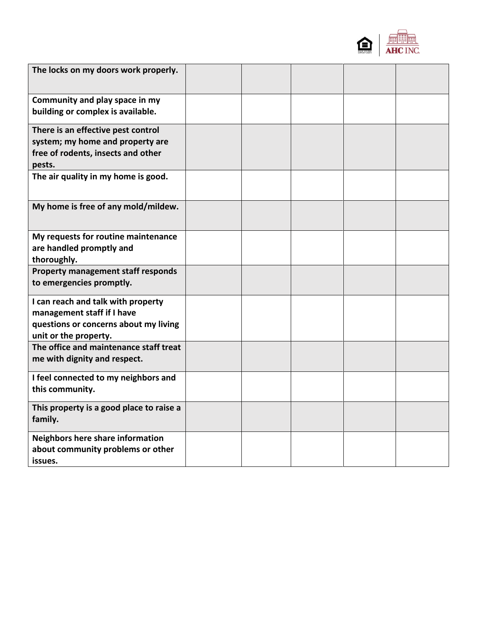

| The locks on my doors work properly.                                                                                               |  |  |  |
|------------------------------------------------------------------------------------------------------------------------------------|--|--|--|
| Community and play space in my<br>building or complex is available.                                                                |  |  |  |
| There is an effective pest control<br>system; my home and property are<br>free of rodents, insects and other<br>pests.             |  |  |  |
| The air quality in my home is good.                                                                                                |  |  |  |
| My home is free of any mold/mildew.                                                                                                |  |  |  |
| My requests for routine maintenance<br>are handled promptly and<br>thoroughly.                                                     |  |  |  |
| Property management staff responds<br>to emergencies promptly.                                                                     |  |  |  |
| I can reach and talk with property<br>management staff if I have<br>questions or concerns about my living<br>unit or the property. |  |  |  |
| The office and maintenance staff treat<br>me with dignity and respect.                                                             |  |  |  |
| I feel connected to my neighbors and<br>this community.                                                                            |  |  |  |
| This property is a good place to raise a<br>family.                                                                                |  |  |  |
| Neighbors here share information<br>about community problems or other<br>issues.                                                   |  |  |  |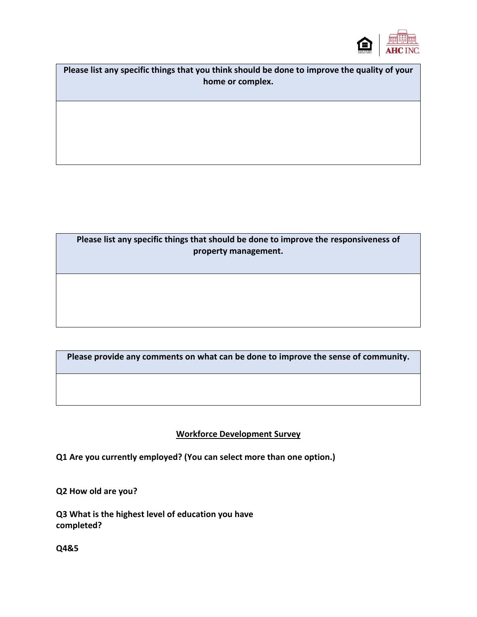

**Please list any specific things that you think should be done to improve the quality of your home or complex.**

**Please list any specific things that should be done to improve the responsiveness of property management.**

**Please provide any comments on what can be done to improve the sense of community.**

## **Workforce Development Survey**

**Q1 Are you currently employed? (You can select more than one option.)** 

**Q2 How old are you?**

**Q3 What is the highest level of education you have completed?**

**Q4&5**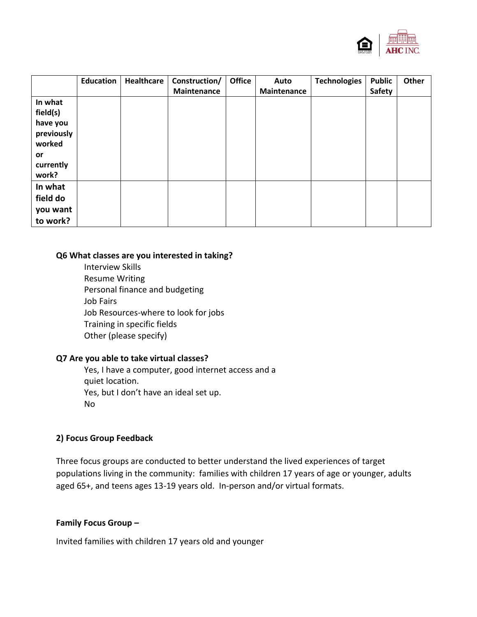

|                                                                                     | <b>Education</b> | Healthcare | Construction/<br><b>Maintenance</b> | <b>Office</b> | Auto<br><b>Maintenance</b> | <b>Technologies</b> | <b>Public</b><br>Safety | Other |
|-------------------------------------------------------------------------------------|------------------|------------|-------------------------------------|---------------|----------------------------|---------------------|-------------------------|-------|
| In what<br>field(s)<br>have you<br>previously<br>worked<br>or<br>currently<br>work? |                  |            |                                     |               |                            |                     |                         |       |
| In what<br>field do<br>you want<br>to work?                                         |                  |            |                                     |               |                            |                     |                         |       |

#### **Q6 What classes are you interested in taking?**

Interview Skills Resume Writing Personal finance and budgeting Job Fairs Job Resources-where to look for jobs Training in specific fields Other (please specify)

#### **Q7 Are you able to take virtual classes?**

Yes, I have a computer, good internet access and a quiet location. Yes, but I don't have an ideal set up. No

#### **2) Focus Group Feedback**

Three focus groups are conducted to better understand the lived experiences of target populations living in the community: families with children 17 years of age or younger, adults aged 65+, and teens ages 13-19 years old. In-person and/or virtual formats.

### **Family Focus Group –**

Invited families with children 17 years old and younger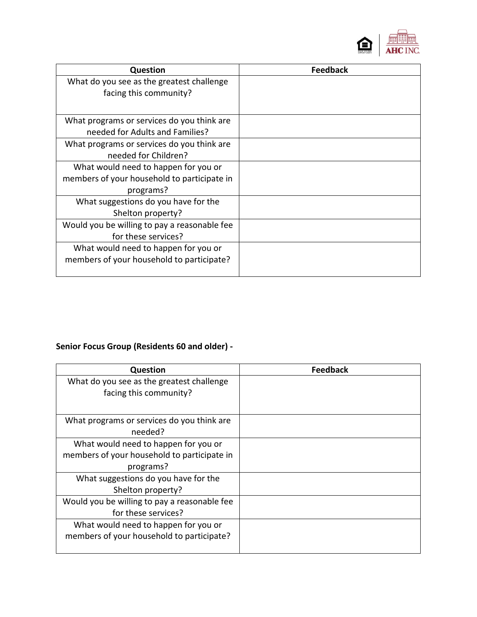

| <b>Question</b>                              | <b>Feedback</b> |
|----------------------------------------------|-----------------|
| What do you see as the greatest challenge    |                 |
| facing this community?                       |                 |
|                                              |                 |
| What programs or services do you think are   |                 |
| needed for Adults and Families?              |                 |
| What programs or services do you think are   |                 |
| needed for Children?                         |                 |
| What would need to happen for you or         |                 |
| members of your household to participate in  |                 |
| programs?                                    |                 |
| What suggestions do you have for the         |                 |
| Shelton property?                            |                 |
| Would you be willing to pay a reasonable fee |                 |
| for these services?                          |                 |
| What would need to happen for you or         |                 |
| members of your household to participate?    |                 |
|                                              |                 |

# **Senior Focus Group (Residents 60 and older) -**

| <b>Question</b>                              | <b>Feedback</b> |
|----------------------------------------------|-----------------|
| What do you see as the greatest challenge    |                 |
| facing this community?                       |                 |
|                                              |                 |
| What programs or services do you think are   |                 |
| needed?                                      |                 |
| What would need to happen for you or         |                 |
| members of your household to participate in  |                 |
| programs?                                    |                 |
| What suggestions do you have for the         |                 |
| Shelton property?                            |                 |
| Would you be willing to pay a reasonable fee |                 |
| for these services?                          |                 |
| What would need to happen for you or         |                 |
| members of your household to participate?    |                 |
|                                              |                 |